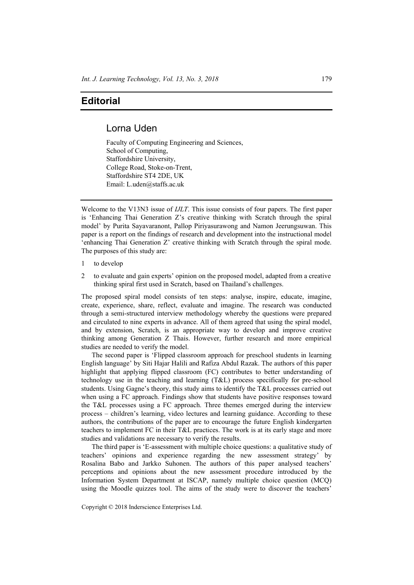## **Editorial**

## Lorna Uden

Faculty of Computing Engineering and Sciences, School of Computing, Staffordshire University, College Road, Stoke-on-Trent, Staffordshire ST4 2DE, UK Email: L.uden@staffs.ac.uk

Welcome to the V13N3 issue of *IJLT*. This issue consists of four papers. The first paper is 'Enhancing Thai Generation Z's creative thinking with Scratch through the spiral model' by Purita Sayavaranont, Pallop Piriyasurawong and Namon Jeerungsuwan. This paper is a report on the findings of research and development into the instructional model 'enhancing Thai Generation Z' creative thinking with Scratch through the spiral mode. The purposes of this study are:

- 1 to develop
- 2 to evaluate and gain experts' opinion on the proposed model, adapted from a creative thinking spiral first used in Scratch, based on Thailand's challenges.

The proposed spiral model consists of ten steps: analyse, inspire, educate, imagine, create, experience, share, reflect, evaluate and imagine. The research was conducted through a semi-structured interview methodology whereby the questions were prepared and circulated to nine experts in advance. All of them agreed that using the spiral model, and by extension, Scratch, is an appropriate way to develop and improve creative thinking among Generation Z Thais. However, further research and more empirical studies are needed to verify the model.

The second paper is 'Flipped classroom approach for preschool students in learning English language' by Siti Hajar Halili and Rafiza Abdul Razak. The authors of this paper highlight that applying flipped classroom (FC) contributes to better understanding of technology use in the teaching and learning (T&L) process specifically for pre-school students. Using Gagne's theory, this study aims to identify the T&L processes carried out when using a FC approach. Findings show that students have positive responses toward the T&L processes using a FC approach. Three themes emerged during the interview process – children's learning, video lectures and learning guidance. According to these authors, the contributions of the paper are to encourage the future English kindergarten teachers to implement FC in their T&L practices. The work is at its early stage and more studies and validations are necessary to verify the results.

The third paper is 'E-assessment with multiple choice questions: a qualitative study of teachers' opinions and experience regarding the new assessment strategy' by Rosalina Babo and Jarkko Suhonen. The authors of this paper analysed teachers' perceptions and opinions about the new assessment procedure introduced by the Information System Department at ISCAP, namely multiple choice question (MCQ) using the Moodle quizzes tool. The aims of the study were to discover the teachers'

Copyright © 2018 Inderscience Enterprises Ltd.